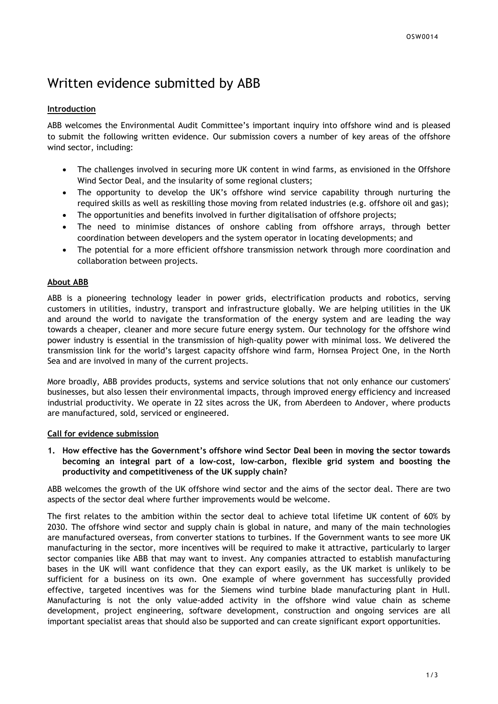# Written evidence submitted by ABB

## **Introduction**

ABB welcomes the Environmental Audit Committee's important inquiry into offshore wind and is pleased to submit the following written evidence. Our submission covers a number of key areas of the offshore wind sector, including:

- The challenges involved in securing more UK content in wind farms, as envisioned in the Offshore Wind Sector Deal, and the insularity of some regional clusters;
- The opportunity to develop the UK's offshore wind service capability through nurturing the required skills as well as reskilling those moving from related industries (e.g. offshore oil and gas);
- The opportunities and benefits involved in further digitalisation of offshore projects;
- The need to minimise distances of onshore cabling from offshore arrays, through better coordination between developers and the system operator in locating developments; and
- The potential for a more efficient offshore transmission network through more coordination and collaboration between projects.

## **About ABB**

ABB is a pioneering technology leader in power grids, electrification products and robotics, serving customers in utilities, industry, transport and infrastructure globally. We are helping utilities in the UK and around the world to navigate the transformation of the energy system and are leading the way towards a cheaper, cleaner and more secure future energy system. Our technology for the offshore wind power industry is essential in the transmission of high-quality power with minimal loss. We delivered the transmission link for the world's largest capacity offshore wind farm, Hornsea Project One, in the North Sea and are involved in many of the current projects.

More broadly, ABB provides products, systems and service solutions that not only enhance our customers' businesses, but also lessen their environmental impacts, through improved energy efficiency and increased industrial productivity. We operate in 22 sites across the UK, from Aberdeen to Andover, where products are manufactured, sold, serviced or engineered.

## **Call for evidence submission**

**1. How effective has the Government's offshore wind Sector Deal been in moving the sector towards becoming an integral part of a low-cost, low-carbon, flexible grid system and boosting the productivity and competitiveness of the UK supply chain?**

ABB welcomes the growth of the UK offshore wind sector and the aims of the sector deal. There are two aspects of the sector deal where further improvements would be welcome.

The first relates to the ambition within the sector deal to achieve total lifetime UK content of 60% by 2030. The offshore wind sector and supply chain is global in nature, and many of the main technologies are manufactured overseas, from converter stations to turbines. If the Government wants to see more UK manufacturing in the sector, more incentives will be required to make it attractive, particularly to larger sector companies like ABB that may want to invest. Any companies attracted to establish manufacturing bases in the UK will want confidence that they can export easily, as the UK market is unlikely to be sufficient for a business on its own. One example of where government has successfully provided effective, targeted incentives was for the Siemens wind turbine blade manufacturing plant in Hull. Manufacturing is not the only value-added activity in the offshore wind value chain as scheme development, project engineering, software development, construction and ongoing services are all important specialist areas that should also be supported and can create significant export opportunities.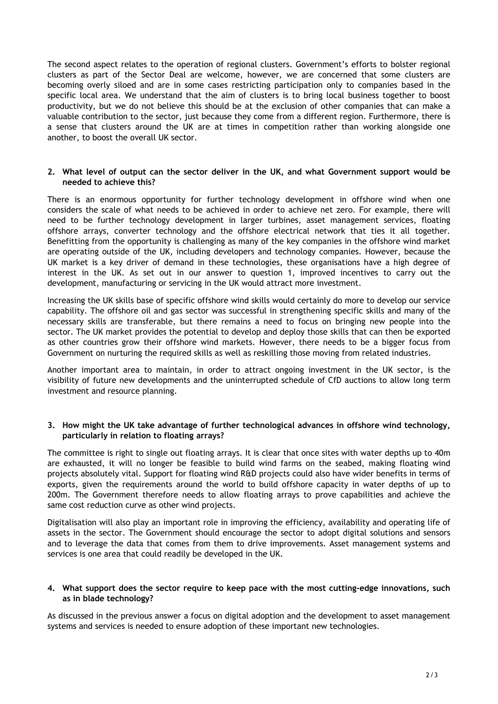The second aspect relates to the operation of regional clusters. Government's efforts to bolster regional clusters as part of the Sector Deal are welcome, however, we are concerned that some clusters are becoming overly siloed and are in some cases restricting participation only to companies based in the specific local area. We understand that the aim of clusters is to bring local business together to boost productivity, but we do not believe this should be at the exclusion of other companies that can make a valuable contribution to the sector, just because they come from a different region. Furthermore, there is a sense that clusters around the UK are at times in competition rather than working alongside one another, to boost the overall UK sector.

#### **2. What level of output can the sector deliver in the UK, and what Government support would be needed to achieve this?**

There is an enormous opportunity for further technology development in offshore wind when one considers the scale of what needs to be achieved in order to achieve net zero. For example, there will need to be further technology development in larger turbines, asset management services, floating offshore arrays, converter technology and the offshore electrical network that ties it all together. Benefitting from the opportunity is challenging as many of the key companies in the offshore wind market are operating outside of the UK, including developers and technology companies. However, because the UK market is a key driver of demand in these technologies, these organisations have a high degree of interest in the UK. As set out in our answer to question 1, improved incentives to carry out the development, manufacturing or servicing in the UK would attract more investment.

Increasing the UK skills base of specific offshore wind skills would certainly do more to develop our service capability. The offshore oil and gas sector was successful in strengthening specific skills and many of the necessary skills are transferable, but there remains a need to focus on bringing new people into the sector. The UK market provides the potential to develop and deploy those skills that can then be exported as other countries grow their offshore wind markets. However, there needs to be a bigger focus from Government on nurturing the required skills as well as reskilling those moving from related industries.

Another important area to maintain, in order to attract ongoing investment in the UK sector, is the visibility of future new developments and the uninterrupted schedule of CfD auctions to allow long term investment and resource planning.

## **3. How might the UK take advantage of further technological advances in offshore wind technology, particularly in relation to floating arrays?**

The committee is right to single out floating arrays. It is clear that once sites with water depths up to 40m are exhausted, it will no longer be feasible to build wind farms on the seabed, making floating wind projects absolutely vital. Support for floating wind R&D projects could also have wider benefits in terms of exports, given the requirements around the world to build offshore capacity in water depths of up to 200m. The Government therefore needs to allow floating arrays to prove capabilities and achieve the same cost reduction curve as other wind projects.

Digitalisation will also play an important role in improving the efficiency, availability and operating life of assets in the sector. The Government should encourage the sector to adopt digital solutions and sensors and to leverage the data that comes from them to drive improvements. Asset management systems and services is one area that could readily be developed in the UK.

## **4. What support does the sector require to keep pace with the most cutting-edge innovations, such as in blade technology?**

As discussed in the previous answer a focus on digital adoption and the development to asset management systems and services is needed to ensure adoption of these important new technologies.